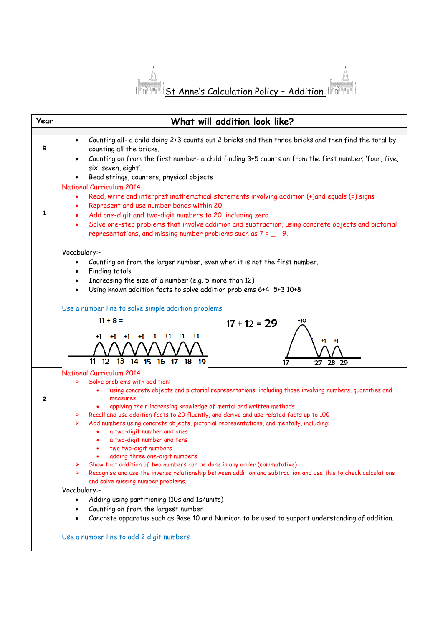

| Year         | What will addition look like?                                                                                                                                                                                                                                                                                                                                                                                                                                                                                                       |
|--------------|-------------------------------------------------------------------------------------------------------------------------------------------------------------------------------------------------------------------------------------------------------------------------------------------------------------------------------------------------------------------------------------------------------------------------------------------------------------------------------------------------------------------------------------|
| R            | Counting all- a child doing 2+3 counts out 2 bricks and then three bricks and then find the total by<br>$\bullet$<br>counting all the bricks.<br>Counting on from the first number- a child finding 3+5 counts on from the first number; 'four, five,<br>six, seven, eight'.                                                                                                                                                                                                                                                        |
|              | Bead strings, counters, physical objects                                                                                                                                                                                                                                                                                                                                                                                                                                                                                            |
| $\mathbf{1}$ | <b>National Curriculum 2014</b><br>Read, write and interpret mathematical statements involving addition (+)and equals (=) signs<br>Represent and use number bonds within 20<br>Add one-digit and two-digit numbers to 20, including zero<br>Solve one-step problems that involve addition and subtraction, using concrete objects and pictorial<br>$\bullet$<br>representations, and missing number problems such as $7 = -9$ .                                                                                                     |
|              | Vocabulary:-<br>Counting on from the larger number, even when it is not the first number.<br>$\bullet$<br>Finding totals<br>Increasing the size of a number (e.g. 5 more than 12)<br>Using known addition facts to solve addition problems 6+4 5+3 10+8<br>$\bullet$                                                                                                                                                                                                                                                                |
|              | Use a number line to solve simple addition problems<br>$11 + 8 =$<br>+10<br>$17 + 12 = 29$<br>+1<br>+1<br>+1                                                                                                                                                                                                                                                                                                                                                                                                                        |
|              | 41<br>+1<br>11<br>13<br>14 15 16 17<br>12<br>18 19<br>17<br>28 29<br>27                                                                                                                                                                                                                                                                                                                                                                                                                                                             |
| $\mathbf{2}$ | <b>National Curriculum 2014</b><br>Solve problems with addition:<br>using concrete objects and pictorial representations, including those involving numbers, quantities and<br>measures<br>applying their increasing knowledge of mental and written methods                                                                                                                                                                                                                                                                        |
|              | Recall and use addition facts to 20 fluently, and derive and use related facts up to 100<br>➤<br>Add numbers using concrete objects, pictorial representations, and mentally, including:<br>➤<br>a two-digit number and ones<br>a two-digit number and tens<br>۰<br>two two-digit numbers<br>adding three one-digit numbers<br>Show that addition of two numbers can be done in any order (commutative)<br>➤<br>Recognise and use the inverse relationship between addition and subtraction and use this to check calculations<br>➤ |
|              | and solve missing number problems.<br>Vocabulary:-<br>Adding using partitioning (10s and 1s/units)<br>$\bullet$<br>Counting on from the largest number<br>Concrete apparatus such as Base 10 and Numicon to be used to support understanding of addition.                                                                                                                                                                                                                                                                           |
|              | Use a number line to add 2 digit numbers                                                                                                                                                                                                                                                                                                                                                                                                                                                                                            |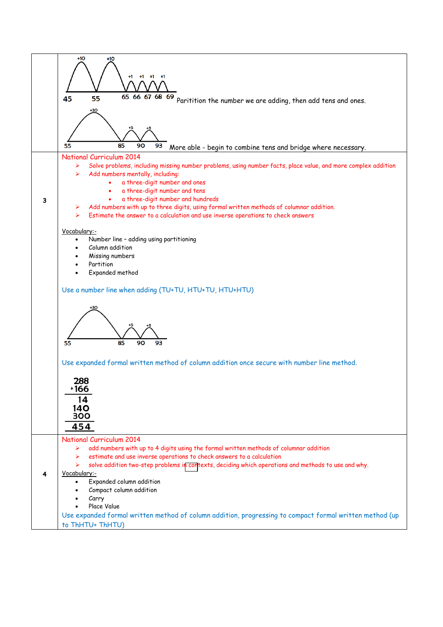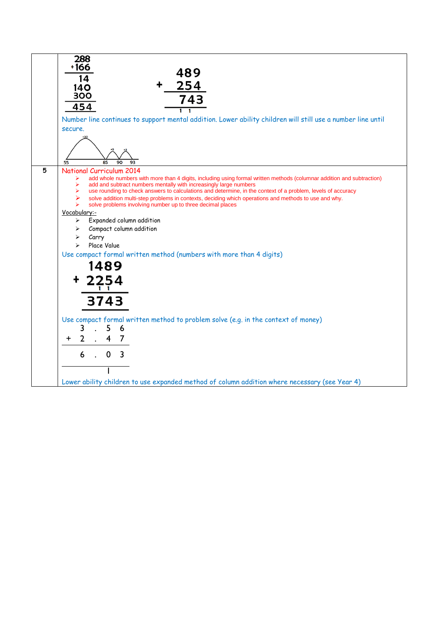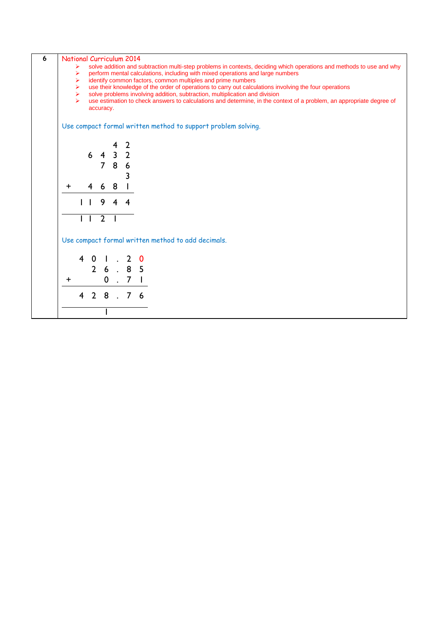| ➤<br>➤<br>➤<br>➤<br>➤<br>$\blacktriangleright$ |   | accuracy.                |                                            |                | solve addition and subtraction multi-step problems in contexts, deciding which operations and methods to use and why<br>perform mental calculations, including with mixed operations and large numbers<br>identify common factors, common multiples and prime numbers<br>use their knowledge of the order of operations to carry out calculations involving the four operations<br>solve problems involving addition, subtraction, multiplication and division<br>use estimation to check answers to calculations and determine, in the context of a problem, an appropriate degree of<br>Use compact formal written method to support problem solving. |
|------------------------------------------------|---|--------------------------|--------------------------------------------|----------------|---------------------------------------------------------------------------------------------------------------------------------------------------------------------------------------------------------------------------------------------------------------------------------------------------------------------------------------------------------------------------------------------------------------------------------------------------------------------------------------------------------------------------------------------------------------------------------------------------------------------------------------------------------|
|                                                |   |                          |                                            |                |                                                                                                                                                                                                                                                                                                                                                                                                                                                                                                                                                                                                                                                         |
|                                                |   |                          |                                            |                |                                                                                                                                                                                                                                                                                                                                                                                                                                                                                                                                                                                                                                                         |
|                                                |   |                          |                                            |                |                                                                                                                                                                                                                                                                                                                                                                                                                                                                                                                                                                                                                                                         |
|                                                |   |                          |                                            |                |                                                                                                                                                                                                                                                                                                                                                                                                                                                                                                                                                                                                                                                         |
|                                                |   |                          |                                            |                |                                                                                                                                                                                                                                                                                                                                                                                                                                                                                                                                                                                                                                                         |
|                                                |   |                          |                                            |                |                                                                                                                                                                                                                                                                                                                                                                                                                                                                                                                                                                                                                                                         |
|                                                |   |                          |                                            |                |                                                                                                                                                                                                                                                                                                                                                                                                                                                                                                                                                                                                                                                         |
|                                                |   |                          | 4                                          | $\overline{2}$ |                                                                                                                                                                                                                                                                                                                                                                                                                                                                                                                                                                                                                                                         |
|                                                | 6 | $\overline{4}$           | $\mathbf{3}$                               | $\overline{2}$ |                                                                                                                                                                                                                                                                                                                                                                                                                                                                                                                                                                                                                                                         |
|                                                |   |                          |                                            |                |                                                                                                                                                                                                                                                                                                                                                                                                                                                                                                                                                                                                                                                         |
|                                                |   |                          |                                            |                |                                                                                                                                                                                                                                                                                                                                                                                                                                                                                                                                                                                                                                                         |
|                                                |   |                          |                                            |                |                                                                                                                                                                                                                                                                                                                                                                                                                                                                                                                                                                                                                                                         |
|                                                |   |                          |                                            |                |                                                                                                                                                                                                                                                                                                                                                                                                                                                                                                                                                                                                                                                         |
|                                                |   |                          |                                            |                |                                                                                                                                                                                                                                                                                                                                                                                                                                                                                                                                                                                                                                                         |
|                                                |   | 9                        | 4                                          | 4              |                                                                                                                                                                                                                                                                                                                                                                                                                                                                                                                                                                                                                                                         |
|                                                |   |                          |                                            |                |                                                                                                                                                                                                                                                                                                                                                                                                                                                                                                                                                                                                                                                         |
|                                                |   |                          |                                            |                |                                                                                                                                                                                                                                                                                                                                                                                                                                                                                                                                                                                                                                                         |
|                                                |   |                          |                                            |                | Use compact formal written method to add decimals.                                                                                                                                                                                                                                                                                                                                                                                                                                                                                                                                                                                                      |
|                                                |   |                          |                                            |                |                                                                                                                                                                                                                                                                                                                                                                                                                                                                                                                                                                                                                                                         |
|                                                |   |                          |                                            |                | 0                                                                                                                                                                                                                                                                                                                                                                                                                                                                                                                                                                                                                                                       |
|                                                |   |                          |                                            |                |                                                                                                                                                                                                                                                                                                                                                                                                                                                                                                                                                                                                                                                         |
|                                                |   |                          |                                            |                |                                                                                                                                                                                                                                                                                                                                                                                                                                                                                                                                                                                                                                                         |
|                                                |   |                          |                                            |                | 7 <sub>1</sub>                                                                                                                                                                                                                                                                                                                                                                                                                                                                                                                                                                                                                                          |
| 4                                              |   |                          |                                            | 7 <sup>7</sup> | -6                                                                                                                                                                                                                                                                                                                                                                                                                                                                                                                                                                                                                                                      |
|                                                |   |                          |                                            |                |                                                                                                                                                                                                                                                                                                                                                                                                                                                                                                                                                                                                                                                         |
|                                                | 4 | 4<br>0<br>$\overline{2}$ | 7<br>6<br>$\overline{2}$<br>$\overline{2}$ | 8<br>8<br>8    | 6<br>3<br>2<br>6.85<br>$0$ .                                                                                                                                                                                                                                                                                                                                                                                                                                                                                                                                                                                                                            |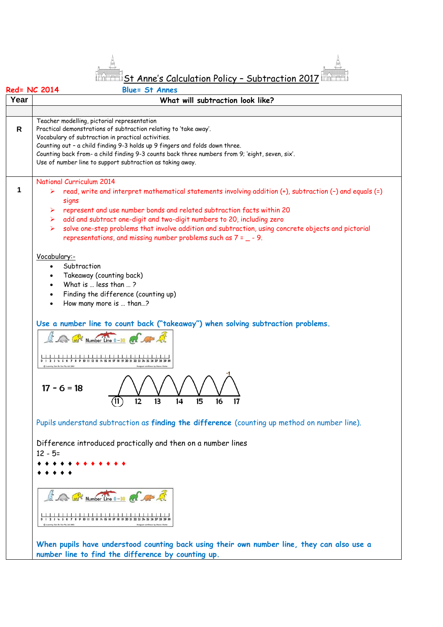$^\mathbb{Z}$ St Anne's Calculation Policy - Subtraction 2017  $^\mathbb{Z}$ 

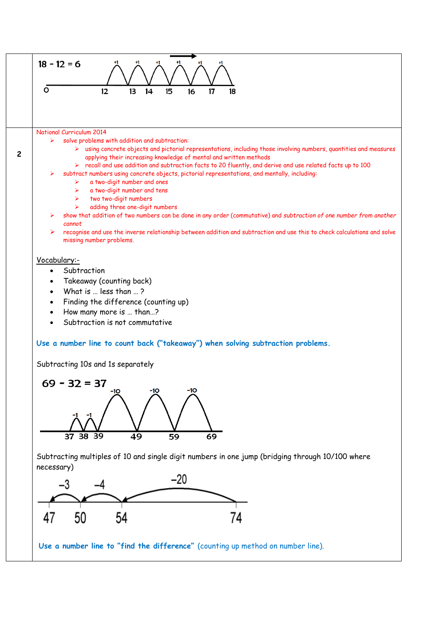



Subtracting multiples of 10 and single digit numbers in one jump (bridging through 10/100 where necessary)



**Use a number line to "find the difference"** (counting up method on number line).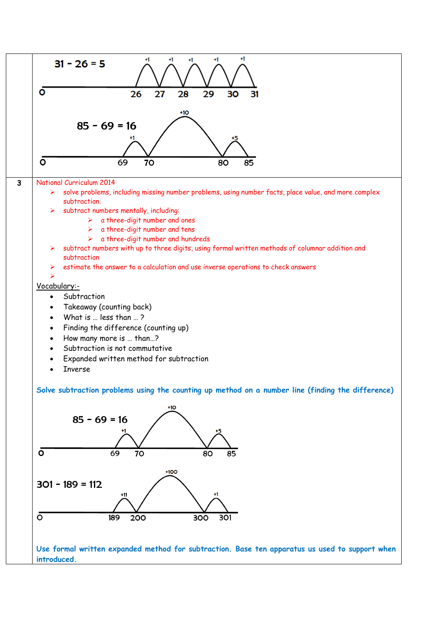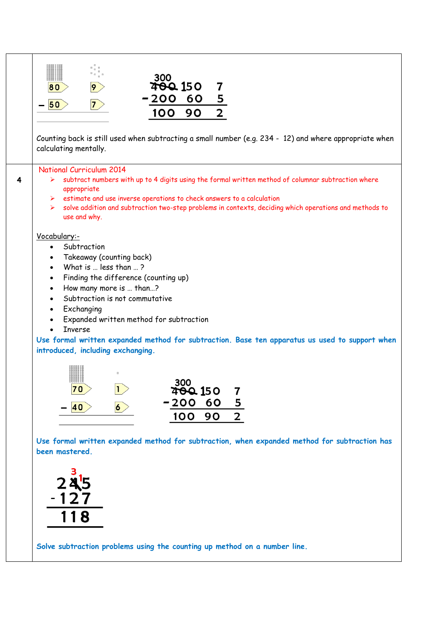| 300                                                                                                                             |
|---------------------------------------------------------------------------------------------------------------------------------|
| <b>400 150</b><br>7<br>9<br>80                                                                                                  |
| $\overline{\mathbf{5}}$<br>200 60<br>50<br>$\overline{7}$                                                                       |
| $\mathbf{2}$<br>100<br>90                                                                                                       |
|                                                                                                                                 |
| Counting back is still used when subtracting a small number (e.g. 234 - 12) and where appropriate when<br>calculating mentally. |
| <b>National Curriculum 2014</b>                                                                                                 |
| subtract numbers with up to 4 digits using the formal written method of columnar subtraction where<br>➤<br>appropriate          |
| $\triangleright$ estimate and use inverse operations to check answers to a calculation                                          |
| solve addition and subtraction two-step problems in contexts, deciding which operations and methods to<br>≻<br>use and why.     |
| Vocabulary:-                                                                                                                    |
| Subtraction<br>$\bullet$<br>Takeaway (counting back)<br>$\bullet$                                                               |
| What is  less than ?<br>$\bullet$                                                                                               |
| Finding the difference (counting up)<br>$\bullet$                                                                               |
| How many more is  than?<br>$\bullet$                                                                                            |
| Subtraction is not commutative<br>$\bullet$<br>Exchanging<br>$\bullet$                                                          |
| Expanded written method for subtraction                                                                                         |
| <b>Inverse</b>                                                                                                                  |
| Use formal written expanded method for subtraction. Base ten apparatus us used to support when                                  |
| introduced, including exchanging.                                                                                               |
|                                                                                                                                 |
| 300                                                                                                                             |
| 70<br><b>TOQ 150</b><br>7                                                                                                       |
| $-200$<br>$\overline{\mathbf{5}}$<br>60<br>6<br>40                                                                              |
| $\mathbf{2}$<br>100<br>90                                                                                                       |
|                                                                                                                                 |
| Use formal written expanded method for subtraction, when expanded method for subtraction has<br>been mastered.                  |
|                                                                                                                                 |
|                                                                                                                                 |
| 245                                                                                                                             |
| 127                                                                                                                             |
|                                                                                                                                 |
| 118                                                                                                                             |
|                                                                                                                                 |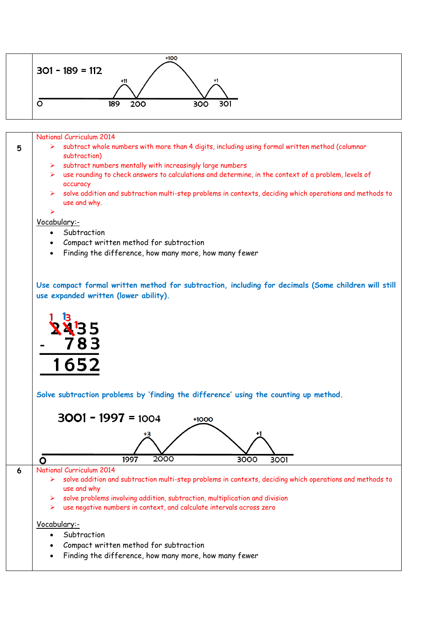

National Curriculum 2014

- $\triangleright$  subtract whole numbers with more than 4 digits, including using formal written method (columnar subtraction)
- subtract numbers mentally with increasingly large numbers
- use rounding to check answers to calculations and determine, in the context of a problem, levels of accuracy
- solve addition and subtraction multi-step problems in contexts, deciding which operations and methods to use and why.

## ➤

**5**

- Vocabulary:- • Subtraction
	- Compact written method for subtraction
	- Finding the difference, how many more, how many fewer

**Use compact formal written method for subtraction, including for decimals (Some children will still use expanded written (lower ability).**



**Solve subtraction problems by 'finding the difference' using the counting up method.**

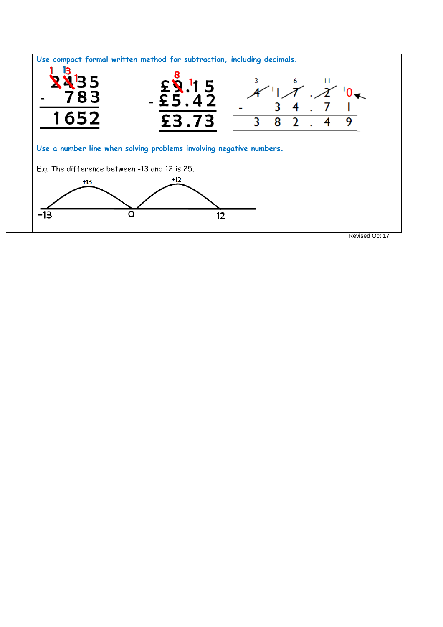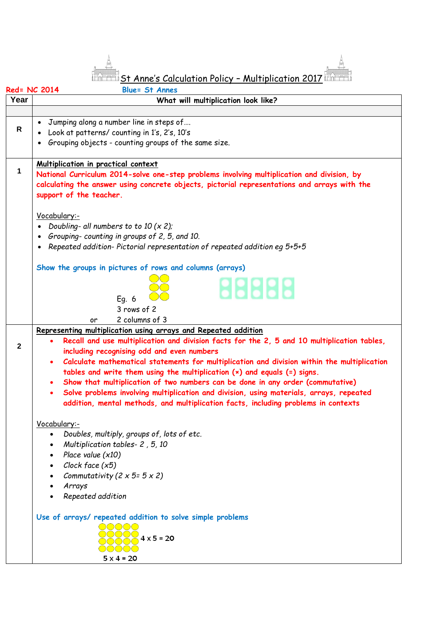St Anne's Calculation Policy - Multiplication 2017

|              | Red= NC 2014<br><b>Blue= St Annes</b>                                                                                                                                             |  |  |  |  |  |  |  |  |  |
|--------------|-----------------------------------------------------------------------------------------------------------------------------------------------------------------------------------|--|--|--|--|--|--|--|--|--|
| Year         | What will multiplication look like?                                                                                                                                               |  |  |  |  |  |  |  |  |  |
|              |                                                                                                                                                                                   |  |  |  |  |  |  |  |  |  |
|              | Jumping along a number line in steps of                                                                                                                                           |  |  |  |  |  |  |  |  |  |
| $\mathsf{R}$ | Look at patterns/ counting in 1's, 2's, 10's                                                                                                                                      |  |  |  |  |  |  |  |  |  |
|              | • Grouping objects - counting groups of the same size.                                                                                                                            |  |  |  |  |  |  |  |  |  |
|              |                                                                                                                                                                                   |  |  |  |  |  |  |  |  |  |
| $\mathbf 1$  | Multiplication in practical context                                                                                                                                               |  |  |  |  |  |  |  |  |  |
|              | National Curriculum 2014-solve one-step problems involving multiplication and division, by                                                                                        |  |  |  |  |  |  |  |  |  |
|              | calculating the answer using concrete objects, pictorial representations and arrays with the                                                                                      |  |  |  |  |  |  |  |  |  |
|              | support of the teacher.                                                                                                                                                           |  |  |  |  |  |  |  |  |  |
|              |                                                                                                                                                                                   |  |  |  |  |  |  |  |  |  |
|              | Vocabulary:-<br>• Doubling-all numbers to to $10 (x 2)$ ;                                                                                                                         |  |  |  |  |  |  |  |  |  |
|              | • Grouping-counting in groups of 2, 5, and 10.                                                                                                                                    |  |  |  |  |  |  |  |  |  |
|              | • Repeated addition-Pictorial representation of repeated addition eg 5+5+5                                                                                                        |  |  |  |  |  |  |  |  |  |
|              |                                                                                                                                                                                   |  |  |  |  |  |  |  |  |  |
|              | Show the groups in pictures of rows and columns (arrays)                                                                                                                          |  |  |  |  |  |  |  |  |  |
|              |                                                                                                                                                                                   |  |  |  |  |  |  |  |  |  |
|              | 88888                                                                                                                                                                             |  |  |  |  |  |  |  |  |  |
|              | Eq. 6                                                                                                                                                                             |  |  |  |  |  |  |  |  |  |
|              | 3 rows of 2                                                                                                                                                                       |  |  |  |  |  |  |  |  |  |
|              | 2 columns of 3<br>or                                                                                                                                                              |  |  |  |  |  |  |  |  |  |
|              | Representing multiplication using arrays and Repeated addition                                                                                                                    |  |  |  |  |  |  |  |  |  |
| $\mathbf{2}$ | Recall and use multiplication and division facts for the 2, 5 and 10 multiplication tables,                                                                                       |  |  |  |  |  |  |  |  |  |
|              | including recognising odd and even numbers                                                                                                                                        |  |  |  |  |  |  |  |  |  |
|              | Calculate mathematical statements for multiplication and division within the multiplication<br>$\bullet$                                                                          |  |  |  |  |  |  |  |  |  |
|              | tables and write them using the multiplication $(x)$ and equals $(=)$ signs.                                                                                                      |  |  |  |  |  |  |  |  |  |
|              | Show that multiplication of two numbers can be done in any order (commutative)<br>$\bullet$                                                                                       |  |  |  |  |  |  |  |  |  |
|              | Solve problems involving multiplication and division, using materials, arrays, repeated<br>$\bullet$                                                                              |  |  |  |  |  |  |  |  |  |
|              | addition, mental methods, and multiplication facts, including problems in contexts                                                                                                |  |  |  |  |  |  |  |  |  |
|              |                                                                                                                                                                                   |  |  |  |  |  |  |  |  |  |
|              | Vocabulary:-<br>Doubles, multiply, groups of, lots of etc.<br>$\bullet$                                                                                                           |  |  |  |  |  |  |  |  |  |
|              | Multiplication tables- 2, 5, 10                                                                                                                                                   |  |  |  |  |  |  |  |  |  |
|              | • Place value $(x10)$                                                                                                                                                             |  |  |  |  |  |  |  |  |  |
|              | Clock face (x5)                                                                                                                                                                   |  |  |  |  |  |  |  |  |  |
|              | Commutativity (2 $\times$ 5= 5 $\times$ 2)                                                                                                                                        |  |  |  |  |  |  |  |  |  |
|              | Arrays                                                                                                                                                                            |  |  |  |  |  |  |  |  |  |
|              | Repeated addition                                                                                                                                                                 |  |  |  |  |  |  |  |  |  |
|              |                                                                                                                                                                                   |  |  |  |  |  |  |  |  |  |
|              | Use of arrays/ repeated addition to solve simple problems                                                                                                                         |  |  |  |  |  |  |  |  |  |
|              | $\bigcirc$ $\bigcirc$ $\bigcirc$ $\bigcirc$                                                                                                                                       |  |  |  |  |  |  |  |  |  |
|              | $4 \times 5 = 20$                                                                                                                                                                 |  |  |  |  |  |  |  |  |  |
|              | $\left( \begin{array}{c} \end{array} \right) \left( \begin{array}{c} \end{array} \right) \left( \begin{array}{c} \end{array} \right) \left( \begin{array}{c} \end{array} \right)$ |  |  |  |  |  |  |  |  |  |
|              | $5 \times 4 = 20$                                                                                                                                                                 |  |  |  |  |  |  |  |  |  |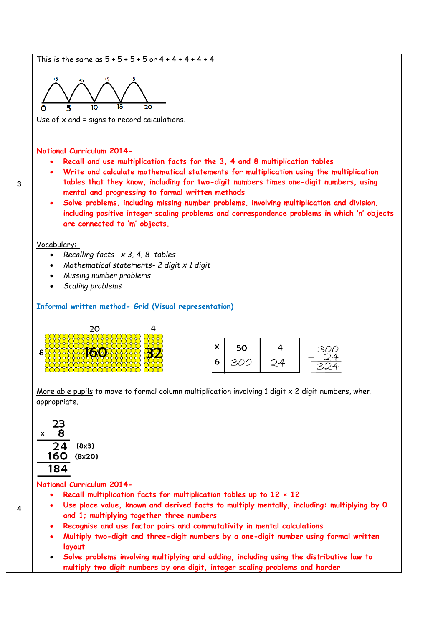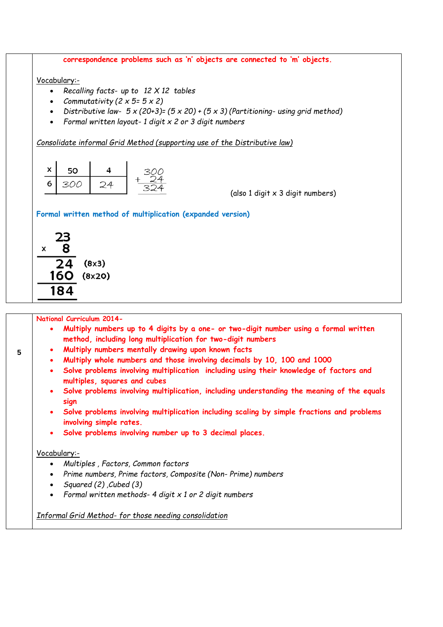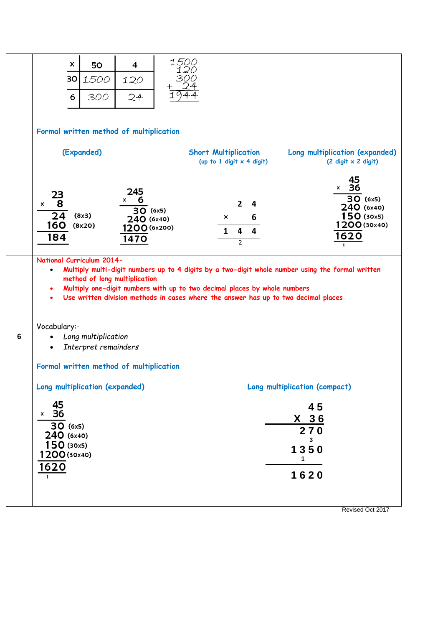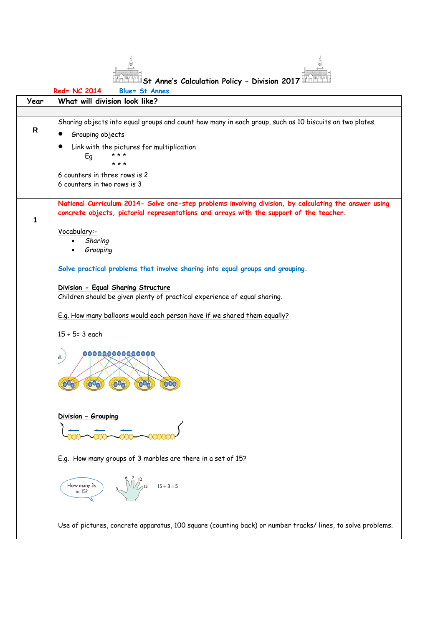

|              | Red= NC 2014<br><b>Blue= St Annes</b>                                                                                                                                                            |  |  |  |  |  |  |  |
|--------------|--------------------------------------------------------------------------------------------------------------------------------------------------------------------------------------------------|--|--|--|--|--|--|--|
| Year         | What will division look like?                                                                                                                                                                    |  |  |  |  |  |  |  |
|              |                                                                                                                                                                                                  |  |  |  |  |  |  |  |
|              | Sharing objects into equal groups and count how many in each group, such as 10 biscuits on two plates.                                                                                           |  |  |  |  |  |  |  |
| $\mathsf{R}$ | Grouping objects                                                                                                                                                                                 |  |  |  |  |  |  |  |
|              | Link with the pictures for multiplication                                                                                                                                                        |  |  |  |  |  |  |  |
|              | * * *<br>Eg                                                                                                                                                                                      |  |  |  |  |  |  |  |
|              | * * *                                                                                                                                                                                            |  |  |  |  |  |  |  |
|              | 6 counters in three rows is 2                                                                                                                                                                    |  |  |  |  |  |  |  |
|              | 6 counters in two rows is 3                                                                                                                                                                      |  |  |  |  |  |  |  |
|              |                                                                                                                                                                                                  |  |  |  |  |  |  |  |
|              | National Curriculum 2014- Solve one-step problems involving division, by calculating the answer using<br>concrete objects, pictorial representations and arrays with the support of the teacher. |  |  |  |  |  |  |  |
|              |                                                                                                                                                                                                  |  |  |  |  |  |  |  |
| 1            |                                                                                                                                                                                                  |  |  |  |  |  |  |  |
|              | Vocabulary:-                                                                                                                                                                                     |  |  |  |  |  |  |  |
|              | Sharing<br>Grouping<br>$\bullet$                                                                                                                                                                 |  |  |  |  |  |  |  |
|              |                                                                                                                                                                                                  |  |  |  |  |  |  |  |
|              | Solve practical problems that involve sharing into equal groups and grouping.                                                                                                                    |  |  |  |  |  |  |  |
|              |                                                                                                                                                                                                  |  |  |  |  |  |  |  |
|              | Division - Equal Sharing Structure                                                                                                                                                               |  |  |  |  |  |  |  |
|              | Children should be given plenty of practical experience of equal sharing.                                                                                                                        |  |  |  |  |  |  |  |
|              |                                                                                                                                                                                                  |  |  |  |  |  |  |  |
|              | E.g. How many balloons would each person have if we shared them equally?                                                                                                                         |  |  |  |  |  |  |  |
|              | $15 \div 5 = 3$ each                                                                                                                                                                             |  |  |  |  |  |  |  |
|              |                                                                                                                                                                                                  |  |  |  |  |  |  |  |
|              | ,,,,,,,,,,,,,,,,                                                                                                                                                                                 |  |  |  |  |  |  |  |
|              | ıll.                                                                                                                                                                                             |  |  |  |  |  |  |  |
|              |                                                                                                                                                                                                  |  |  |  |  |  |  |  |
|              | $\overline{O}$<br>69<br>00 <sub>c</sub>                                                                                                                                                          |  |  |  |  |  |  |  |
|              |                                                                                                                                                                                                  |  |  |  |  |  |  |  |
|              |                                                                                                                                                                                                  |  |  |  |  |  |  |  |
|              | Division - Grouping                                                                                                                                                                              |  |  |  |  |  |  |  |
|              |                                                                                                                                                                                                  |  |  |  |  |  |  |  |
|              |                                                                                                                                                                                                  |  |  |  |  |  |  |  |
|              |                                                                                                                                                                                                  |  |  |  |  |  |  |  |
|              | E.g. How many groups of 3 marbles are there in a set of 15?                                                                                                                                      |  |  |  |  |  |  |  |
|              |                                                                                                                                                                                                  |  |  |  |  |  |  |  |
|              |                                                                                                                                                                                                  |  |  |  |  |  |  |  |
|              | $\sqrt{\frac{2}{3}}$ 15 $15 \div 3 = 5$<br>How many 3s<br>in 15?                                                                                                                                 |  |  |  |  |  |  |  |
|              |                                                                                                                                                                                                  |  |  |  |  |  |  |  |
|              |                                                                                                                                                                                                  |  |  |  |  |  |  |  |
|              |                                                                                                                                                                                                  |  |  |  |  |  |  |  |
|              | Use of pictures, concrete apparatus, 100 square (counting back) or number tracks/lines, to solve problems.                                                                                       |  |  |  |  |  |  |  |
|              |                                                                                                                                                                                                  |  |  |  |  |  |  |  |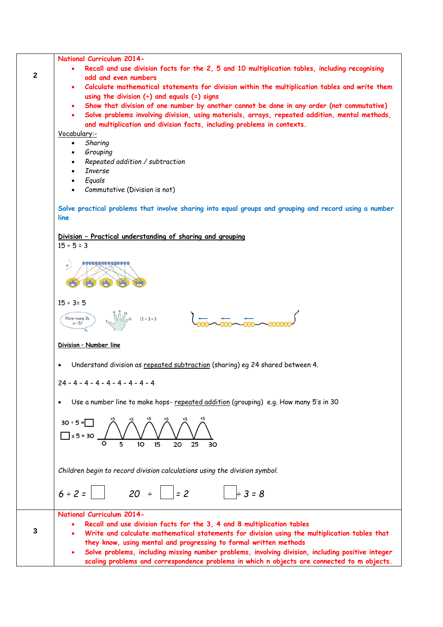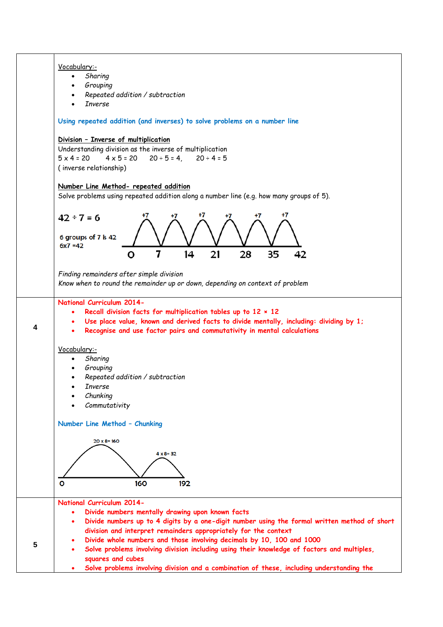